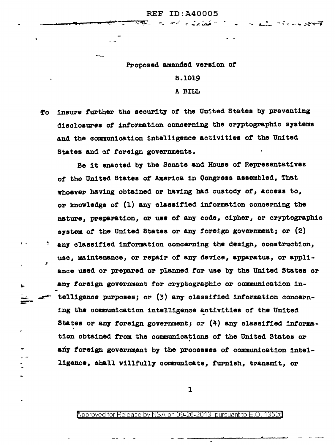$\mathbf{r}^{\mathcal{A}} = \mathbf{r}^{\mathcal{A}}$ 

Proposed amended version of

8.1019 A BILL

insure further the security of the United States by preventing Tо disclosures of information concerning the cryptographic systems and the communication intelligence activities of the United States and of foreign governments.

Be it enacted by the Senate and House of Representatives of the United States of America in Congress assembled, That whoever having obtained or having had custody of, access to. or knowledge of (1) any classified information concerning the nature, preparation, or use of any code, cipher, or cryptographic system of the United States or any foreign government; or (2) any classified information concerning the design, construction, use, maintenance, or repair of any device, apparatus, or appliance used or prepared or planned for use by the United States or any foreign government for cryptographic or communication intelligence purposes; or (3) any classified information concerning the communication intelligence activities of the United States or any foreign government; or  $(4)$  any classified information obtained from the communications of the United States or any foreign government by the processes of communication intelligence, shall willfully communicate, furnish, transmit, or

 $\mathbf{z}$ 

 $\mathbf{r}$ 

<code>Approved</code> for Release by NSA on 09-26-2013  $\,$  pursuant to E.O. 13526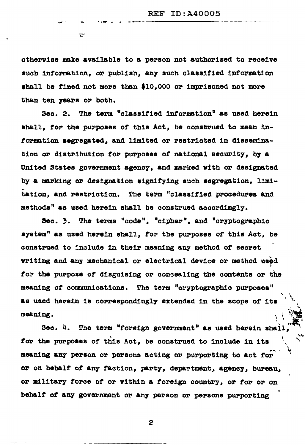otherwise make available to a person not authorized to receive such information, or publish, any such classified information shall be fined not more than \$10.000 or imprisoned not more than ten years or both.

᠊ᠴ

Sec. 2. The term "classified information" as used herein shall, for the purposes of this Act, be construed to mean information segregated, and limited or restricted in dissemination or distribution for purposes of national security, by a United States government agency, and marked with or designated by a marking or designation signifying such segregation. limitation, and restriction. The term "classified procedures and methods" as used herein shall be construed accordingly.

Sec. 3. The terms "code", "cipher", and "cryptographic system" as used herein shall, for the purposes of this Act, be construed to include in their meaning any method of secret writing and any mechanical or electrical device or method used for the purpose of disguising or concealing the contents or the meaning of communications. The term "cryptographic purposes" as used herein is correspondingly extended in the scope of its meaning.

Sec. 4. The term "foreign government" as used herein shall for the purposes of this Act, be construed to include in its meaning any person or persons acting or purporting to act for or on behalf of any faction, party, department, agency, bureau, or military force of or within a foreign country, or for or on behalf of any government or any person or persons purporting

2